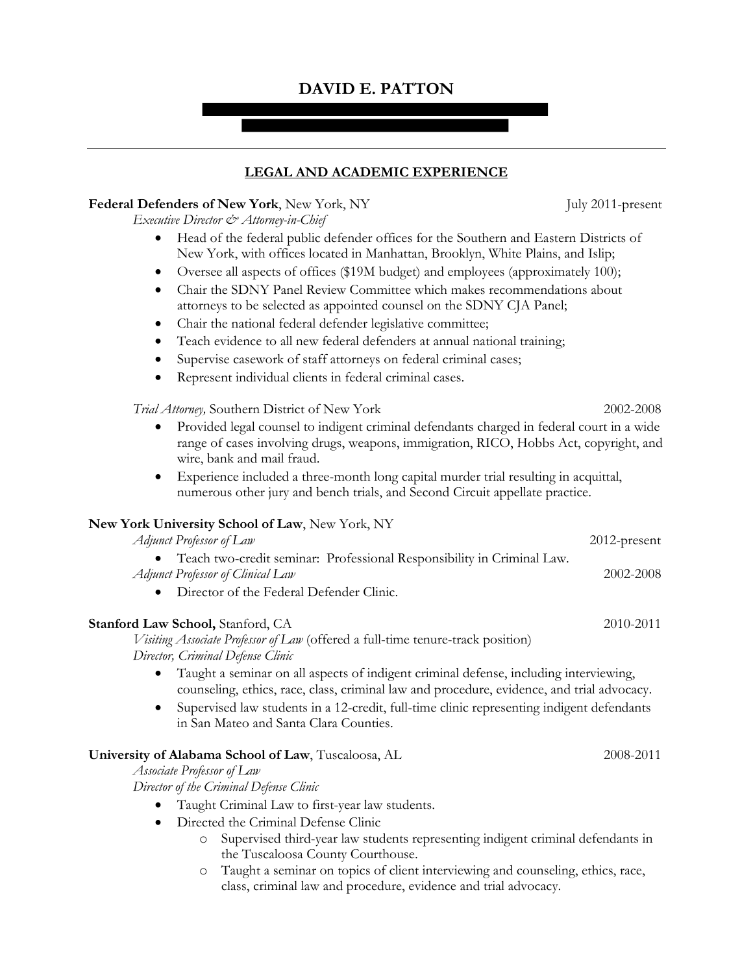# **DAVID E. PATTON**

## **LEGAL AND ACADEMIC EXPERIENCE**

#### **Federal Defenders of New York, New York, NY** July 2011-present

*Executive Director & Attorney-in-Chief* 

- Head of the federal public defender offices for the Southern and Eastern Districts of New York, with offices located in Manhattan, Brooklyn, White Plains, and Islip;
- Oversee all aspects of offices (\$19M budget) and employees (approximately 100);
- Chair the SDNY Panel Review Committee which makes recommendations about attorneys to be selected as appointed counsel on the SDNY CJA Panel;
- Chair the national federal defender legislative committee;
- Teach evidence to all new federal defenders at annual national training;
- Supervise casework of staff attorneys on federal criminal cases;
- Represent individual clients in federal criminal cases.

*Trial Attorney,* Southern District of New York 2002-2008

- Provided legal counsel to indigent criminal defendants charged in federal court in a wide range of cases involving drugs, weapons, immigration, RICO, Hobbs Act, copyright, and wire, bank and mail fraud.
- Experience included a three-month long capital murder trial resulting in acquittal, numerous other jury and bench trials, and Second Circuit appellate practice.

### **New York University School of Law**, New York, NY

| Adjunct Professor of Law                                                 | $2012$ -present |
|--------------------------------------------------------------------------|-----------------|
| • Teach two-credit seminar: Professional Responsibility in Criminal Law. |                 |
| Adjunct Professor of Clinical Law                                        | 2002-2008       |

• Director of the Federal Defender Clinic.

### **Stanford Law School,** Stanford, CA 2010-2011

*Visiting Associate Professor of Law* (offered a full-time tenure-track position) *Director, Criminal Defense Clinic*

- Taught a seminar on all aspects of indigent criminal defense, including interviewing, counseling, ethics, race, class, criminal law and procedure, evidence, and trial advocacy.
- Supervised law students in a 12-credit, full-time clinic representing indigent defendants in San Mateo and Santa Clara Counties.

### **University of Alabama School of Law**, Tuscaloosa, AL 2008-2011

*Associate Professor of Law*

*Director of the Criminal Defense Clinic*

- Taught Criminal Law to first-year law students.
- Directed the Criminal Defense Clinic
	- o Supervised third-year law students representing indigent criminal defendants in the Tuscaloosa County Courthouse.
	- o Taught a seminar on topics of client interviewing and counseling, ethics, race, class, criminal law and procedure, evidence and trial advocacy.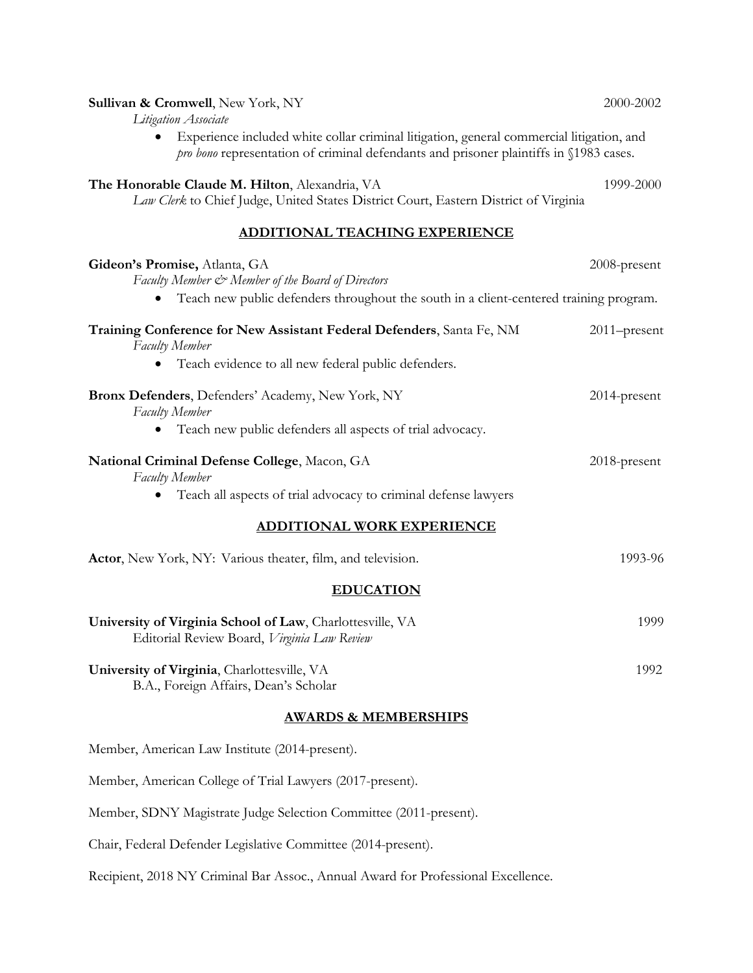| Sullivan & Cromwell, New York, NY<br>Litigation Associate                                                                                                                          | 2000-2002    |  |
|------------------------------------------------------------------------------------------------------------------------------------------------------------------------------------|--------------|--|
| Experience included white collar criminal litigation, general commercial litigation, and<br>pro bono representation of criminal defendants and prisoner plaintiffs in §1983 cases. |              |  |
| The Honorable Claude M. Hilton, Alexandria, VA<br>Law Clerk to Chief Judge, United States District Court, Eastern District of Virginia                                             | 1999-2000    |  |
| <b>ADDITIONAL TEACHING EXPERIENCE</b>                                                                                                                                              |              |  |
| Gideon's Promise, Atlanta, GA<br>Faculty Member & Member of the Board of Directors<br>Teach new public defenders throughout the south in a client-centered training program.       | 2008-present |  |
| Training Conference for New Assistant Federal Defenders, Santa Fe, NM<br>Faculty Member                                                                                            | 2011-present |  |
| Teach evidence to all new federal public defenders.<br>$\bullet$                                                                                                                   |              |  |
| Bronx Defenders, Defenders' Academy, New York, NY<br><b>Faculty Member</b>                                                                                                         | 2014-present |  |
| Teach new public defenders all aspects of trial advocacy.                                                                                                                          |              |  |
| National Criminal Defense College, Macon, GA<br>Faculty Member                                                                                                                     | 2018-present |  |
| Teach all aspects of trial advocacy to criminal defense lawyers<br>$\bullet$                                                                                                       |              |  |
| <b>ADDITIONAL WORK EXPERIENCE</b>                                                                                                                                                  |              |  |
| Actor, New York, NY: Various theater, film, and television.                                                                                                                        | 1993-96      |  |
| <b>EDUCATION</b>                                                                                                                                                                   |              |  |
| University of Virginia School of Law, Charlottesville, VA<br>Editorial Review Board, Virginia Law Review                                                                           | 1999         |  |
| University of Virginia, Charlottesville, VA<br>B.A., Foreign Affairs, Dean's Scholar                                                                                               | 1992         |  |
| <b>AWARDS &amp; MEMBERSHIPS</b>                                                                                                                                                    |              |  |
| Member, American Law Institute (2014-present).                                                                                                                                     |              |  |
| Member, American College of Trial Lawyers (2017-present).                                                                                                                          |              |  |
| Member, SDNY Magistrate Judge Selection Committee (2011-present).                                                                                                                  |              |  |
| Chair, Federal Defender Legislative Committee (2014-present).                                                                                                                      |              |  |

Recipient, 2018 NY Criminal Bar Assoc., Annual Award for Professional Excellence.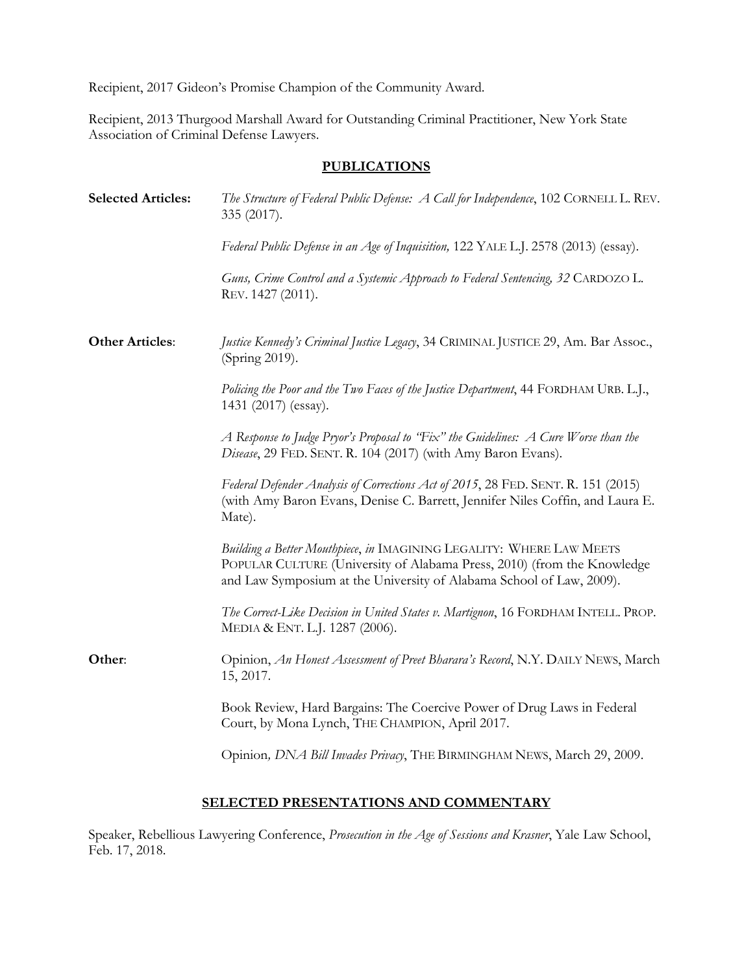Recipient, 2017 Gideon's Promise Champion of the Community Award.

Recipient, 2013 Thurgood Marshall Award for Outstanding Criminal Practitioner, New York State Association of Criminal Defense Lawyers.

## **PUBLICATIONS**

| <b>Selected Articles:</b> | The Structure of Federal Public Defense: A Call for Independence, 102 CORNELL L. REV.<br>335 (2017).                                                                                                                    |
|---------------------------|-------------------------------------------------------------------------------------------------------------------------------------------------------------------------------------------------------------------------|
|                           | Federal Public Defense in an Age of Inquisition, 122 YALE L.J. 2578 (2013) (essay).                                                                                                                                     |
|                           | Guns, Crime Control and a Systemic Approach to Federal Sentencing, 32 CARDOZO L.<br>REV. 1427 (2011).                                                                                                                   |
| <b>Other Articles:</b>    | Justice Kennedy's Criminal Justice Legacy, 34 CRIMINAL JUSTICE 29, Am. Bar Assoc.,<br>(Spring 2019).                                                                                                                    |
|                           | Policing the Poor and the Two Faces of the Justice Department, 44 FORDHAM URB. L.J.,<br>1431 (2017) (essay).                                                                                                            |
|                           | A Response to Judge Pryor's Proposal to "Fix" the Guidelines: $A$ Cure Worse than the<br>Disease, 29 FED. SENT. R. 104 (2017) (with Amy Baron Evans).                                                                   |
|                           | Federal Defender Analysis of Corrections Act of 2015, 28 FED. SENT. R. 151 (2015)<br>(with Amy Baron Evans, Denise C. Barrett, Jennifer Niles Coffin, and Laura E.<br>Mate).                                            |
|                           | Building a Better Mouthpiece, in IMAGINING LEGALITY: WHERE LAW MEETS<br>POPULAR CULTURE (University of Alabama Press, 2010) (from the Knowledge<br>and Law Symposium at the University of Alabama School of Law, 2009). |
|                           | The Correct-Like Decision in United States v. Martignon, 16 FORDHAM INTELL. PROP.<br>MEDIA & ENT. L.J. 1287 (2006).                                                                                                     |
| Other:                    | Opinion, An Honest Assessment of Preet Bharara's Record, N.Y. DAILY NEWS, March<br>15, 2017.                                                                                                                            |
|                           | Book Review, Hard Bargains: The Coercive Power of Drug Laws in Federal<br>Court, by Mona Lynch, THE CHAMPION, April 2017.                                                                                               |
|                           | Opinion, DNA Bill Invades Privacy, THE BIRMINGHAM NEWS, March 29, 2009.                                                                                                                                                 |

## **SELECTED PRESENTATIONS AND COMMENTARY**

Speaker, Rebellious Lawyering Conference, *Prosecution in the Age of Sessions and Krasner*, Yale Law School, Feb. 17, 2018.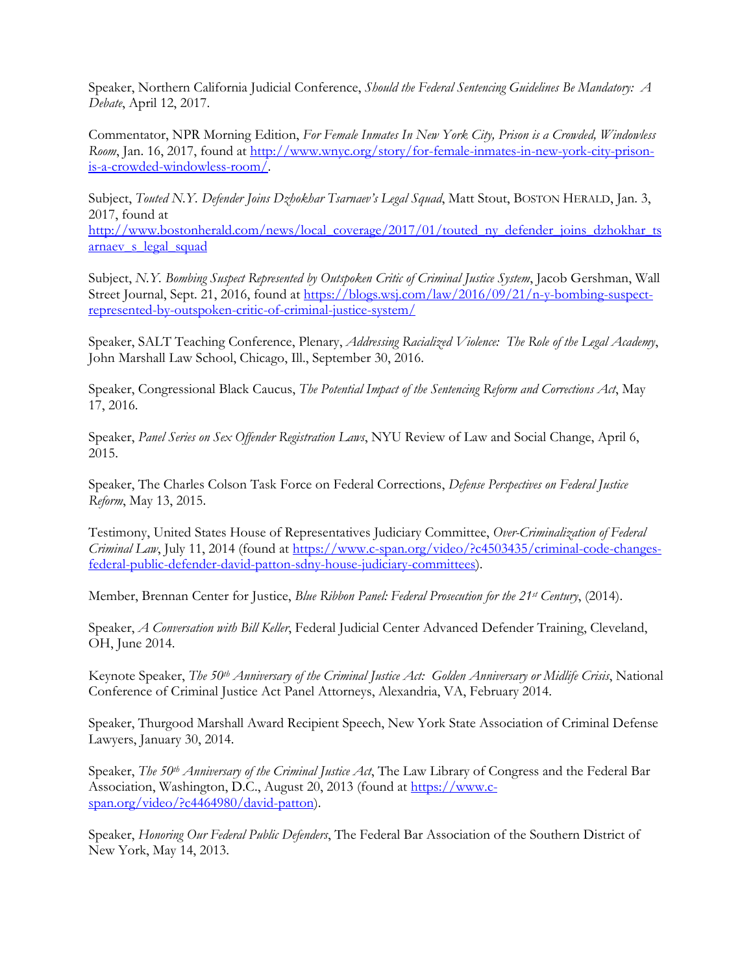Speaker, Northern California Judicial Conference, *Should the Federal Sentencing Guidelines Be Mandatory: A Debate*, April 12, 2017.

Commentator, NPR Morning Edition, *For Female Inmates In New York City, Prison is a Crowded, Windowless Room*, Jan. 16, 2017, found at [http://www.wnyc.org/story/for-female-inmates-in-new-york-city-prison](http://www.wnyc.org/story/for-female-inmates-in-new-york-city-prison-is-a-crowded-windowless-room/)[is-a-crowded-windowless-room/.](http://www.wnyc.org/story/for-female-inmates-in-new-york-city-prison-is-a-crowded-windowless-room/)

Subject, *Touted N.Y. Defender Joins Dzhokhar Tsarnaev's Legal Squad*, Matt Stout, BOSTON HERALD, Jan. 3, 2017, found at

[http://www.bostonherald.com/news/local\\_coverage/2017/01/touted\\_ny\\_defender\\_joins\\_dzhokhar\\_ts](http://www.bostonherald.com/news/local_coverage/2017/01/touted_ny_defender_joins_dzhokhar_tsarnaev_s_legal_squad) arnaev s legal squad

Subject, *N.Y. Bombing Suspect Represented by Outspoken Critic of Criminal Justice System*, Jacob Gershman, Wall Street Journal, Sept. 21, 2016, found at [https://blogs.wsj.com/law/2016/09/21/n-y-bombing-suspect](https://blogs.wsj.com/law/2016/09/21/n-y-bombing-suspect-represented-by-outspoken-critic-of-criminal-justice-system/)[represented-by-outspoken-critic-of-criminal-justice-system/](https://blogs.wsj.com/law/2016/09/21/n-y-bombing-suspect-represented-by-outspoken-critic-of-criminal-justice-system/)

Speaker, SALT Teaching Conference, Plenary, *Addressing Racialized Violence: The Role of the Legal Academy*, John Marshall Law School, Chicago, Ill., September 30, 2016.

Speaker, Congressional Black Caucus, *The Potential Impact of the Sentencing Reform and Corrections Act*, May 17, 2016.

Speaker, *Panel Series on Sex Offender Registration Laws*, NYU Review of Law and Social Change, April 6, 2015.

Speaker, The Charles Colson Task Force on Federal Corrections, *Defense Perspectives on Federal Justice Reform*, May 13, 2015.

Testimony, United States House of Representatives Judiciary Committee, *Over-Criminalization of Federal Criminal Law*, July 11, 2014 (found at [https://www.c-span.org/video/?c4503435/criminal-code-changes](https://www.c-span.org/video/?c4503435/criminal-code-changes-federal-public-defender-david-patton-sdny-house-judiciary-committees)[federal-public-defender-david-patton-sdny-house-judiciary-committees\)](https://www.c-span.org/video/?c4503435/criminal-code-changes-federal-public-defender-david-patton-sdny-house-judiciary-committees).

Member, Brennan Center for Justice, *Blue Ribbon Panel: Federal Prosecution for the 21st Century*, (2014).

Speaker, *A Conversation with Bill Keller*, Federal Judicial Center Advanced Defender Training, Cleveland, OH, June 2014.

Keynote Speaker, *The 50th Anniversary of the Criminal Justice Act: Golden Anniversary or Midlife Crisis*, National Conference of Criminal Justice Act Panel Attorneys, Alexandria, VA, February 2014.

Speaker, Thurgood Marshall Award Recipient Speech, New York State Association of Criminal Defense Lawyers, January 30, 2014.

Speaker, *The 50th Anniversary of the Criminal Justice Act*, The Law Library of Congress and the Federal Bar Association, Washington, D.C., August 20, 2013 (found at [https://www.c](https://www.c-span.org/video/?c4464980/david-patton)[span.org/video/?c4464980/david-patton\)](https://www.c-span.org/video/?c4464980/david-patton).

Speaker, *Honoring Our Federal Public Defenders*, The Federal Bar Association of the Southern District of New York, May 14, 2013.